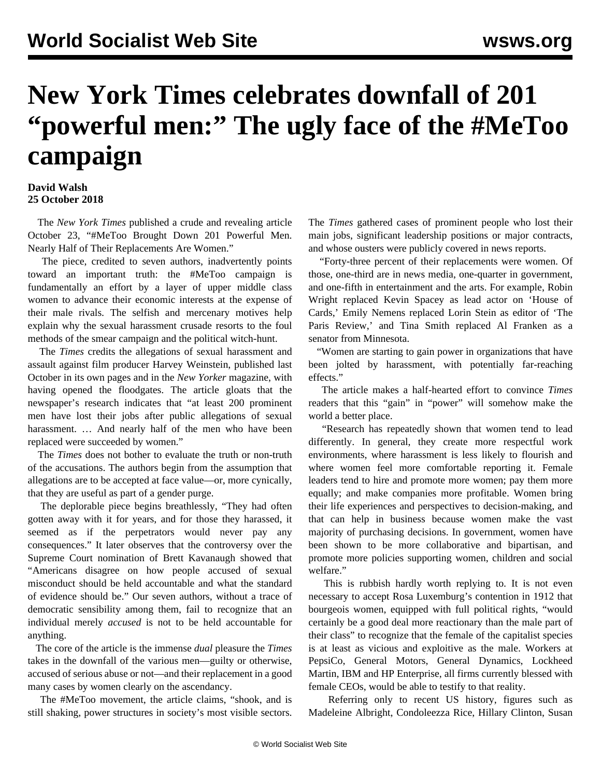## **New York Times celebrates downfall of 201 "powerful men:" The ugly face of the #MeToo campaign**

## **David Walsh 25 October 2018**

 The *New York Times* published a crude and revealing article October 23, "#MeToo Brought Down 201 Powerful Men. Nearly Half of Their Replacements Are Women."

 The piece, credited to seven authors, inadvertently points toward an important truth: the #MeToo campaign is fundamentally an effort by a layer of upper middle class women to advance their economic interests at the expense of their male rivals. The selfish and mercenary motives help explain why the sexual harassment crusade resorts to the foul methods of the smear campaign and the political witch-hunt.

 The *Times* credits the allegations of sexual harassment and assault against film producer Harvey Weinstein, published last October in its own pages and in the *New Yorker* magazine, with having opened the floodgates. The article gloats that the newspaper's research indicates that "at least 200 prominent men have lost their jobs after public allegations of sexual harassment. ... And nearly half of the men who have been replaced were succeeded by women."

 The *Times* does not bother to evaluate the truth or non-truth of the accusations. The authors begin from the assumption that allegations are to be accepted at face value—or, more cynically, that they are useful as part of a gender purge.

 The deplorable piece begins breathlessly, "They had often gotten away with it for years, and for those they harassed, it seemed as if the perpetrators would never pay any consequences." It later observes that the controversy over the Supreme Court nomination of Brett Kavanaugh showed that "Americans disagree on how people accused of sexual misconduct should be held accountable and what the standard of evidence should be." Our seven authors, without a trace of democratic sensibility among them, fail to recognize that an individual merely *accused* is not to be held accountable for anything.

 The core of the article is the immense *dual* pleasure the *Times* takes in the downfall of the various men—guilty or otherwise, accused of serious abuse or not—and their replacement in a good many cases by women clearly on the ascendancy.

 The #MeToo movement, the article claims, "shook, and is still shaking, power structures in society's most visible sectors. The *Times* gathered cases of prominent people who lost their main jobs, significant leadership positions or major contracts, and whose ousters were publicly covered in news reports.

 "Forty-three percent of their replacements were women. Of those, one-third are in news media, one-quarter in government, and one-fifth in entertainment and the arts. For example, Robin Wright replaced Kevin Spacey as lead actor on 'House of Cards,' Emily Nemens replaced Lorin Stein as editor of 'The Paris Review,' and Tina Smith replaced Al Franken as a senator from Minnesota.

 "Women are starting to gain power in organizations that have been jolted by harassment, with potentially far-reaching effects."

 The article makes a half-hearted effort to convince *Times* readers that this "gain" in "power" will somehow make the world a better place.

 "Research has repeatedly shown that women tend to lead differently. In general, they create more respectful work environments, where harassment is less likely to flourish and where women feel more comfortable reporting it. Female leaders tend to hire and promote more women; pay them more equally; and make companies more profitable. Women bring their life experiences and perspectives to decision-making, and that can help in business because women make the vast majority of purchasing decisions. In government, women have been shown to be more collaborative and bipartisan, and promote more policies supporting women, children and social welfare."

 This is rubbish hardly worth replying to. It is not even necessary to accept Rosa Luxemburg's contention in 1912 that bourgeois women, equipped with full political rights, "would certainly be a good deal more reactionary than the male part of their class" to recognize that the female of the capitalist species is at least as vicious and exploitive as the male. Workers at PepsiCo, General Motors, General Dynamics, Lockheed Martin, IBM and HP Enterprise, all firms currently blessed with female CEOs, would be able to testify to that reality.

 Referring only to recent US history, figures such as Madeleine Albright, Condoleezza Rice, Hillary Clinton, Susan